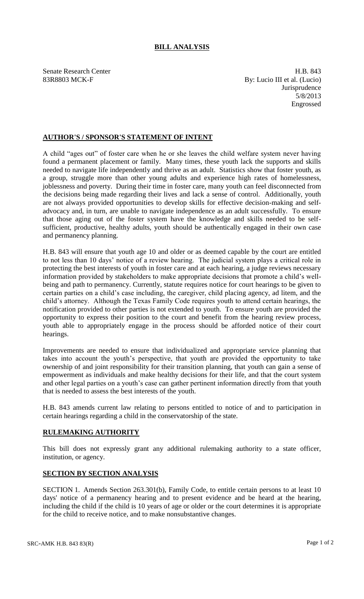## **BILL ANALYSIS**

Senate Research Center **H.B.** 843 83R8803 MCK-F By: Lucio III et al. (Lucio) **Jurisprudence** 5/8/2013 Engrossed

## **AUTHOR'S / SPONSOR'S STATEMENT OF INTENT**

A child "ages out" of foster care when he or she leaves the child welfare system never having found a permanent placement or family. Many times, these youth lack the supports and skills needed to navigate life independently and thrive as an adult. Statistics show that foster youth, as a group, struggle more than other young adults and experience high rates of homelessness, joblessness and poverty. During their time in foster care, many youth can feel disconnected from the decisions being made regarding their lives and lack a sense of control. Additionally, youth are not always provided opportunities to develop skills for effective decision-making and selfadvocacy and, in turn, are unable to navigate independence as an adult successfully. To ensure that those aging out of the foster system have the knowledge and skills needed to be selfsufficient, productive, healthy adults, youth should be authentically engaged in their own case and permanency planning.

H.B. 843 will ensure that youth age 10 and older or as deemed capable by the court are entitled to not less than 10 days' notice of a review hearing. The judicial system plays a critical role in protecting the best interests of youth in foster care and at each hearing, a judge reviews necessary information provided by stakeholders to make appropriate decisions that promote a child's wellbeing and path to permanency. Currently, statute requires notice for court hearings to be given to certain parties on a child's case including, the caregiver, child placing agency, ad litem, and the child's attorney. Although the Texas Family Code requires youth to attend certain hearings, the notification provided to other parties is not extended to youth. To ensure youth are provided the opportunity to express their position to the court and benefit from the hearing review process, youth able to appropriately engage in the process should be afforded notice of their court hearings.

Improvements are needed to ensure that individualized and appropriate service planning that takes into account the youth's perspective, that youth are provided the opportunity to take ownership of and joint responsibility for their transition planning, that youth can gain a sense of empowerment as individuals and make healthy decisions for their life, and that the court system and other legal parties on a youth's case can gather pertinent information directly from that youth that is needed to assess the best interests of the youth.

H.B. 843 amends current law relating to persons entitled to notice of and to participation in certain hearings regarding a child in the conservatorship of the state.

## **RULEMAKING AUTHORITY**

This bill does not expressly grant any additional rulemaking authority to a state officer, institution, or agency.

## **SECTION BY SECTION ANALYSIS**

SECTION 1. Amends Section 263.301(b), Family Code, to entitle certain persons to at least 10 days' notice of a permanency hearing and to present evidence and be heard at the hearing, including the child if the child is 10 years of age or older or the court determines it is appropriate for the child to receive notice, and to make nonsubstantive changes.